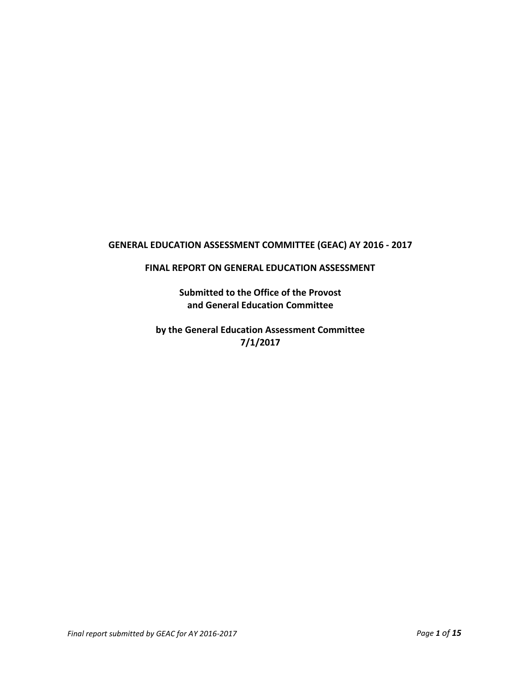# **GENERAL EDUCATION ASSESSMENT COMMITTEE (GEAC) AY 2016 - 2017**

#### **FINAL REPORT ON GENERAL EDUCATION ASSESSMENT**

**Submitted to the Office of the Provost and General Education Committee**

**by the General Education Assessment Committee 7/1/2017**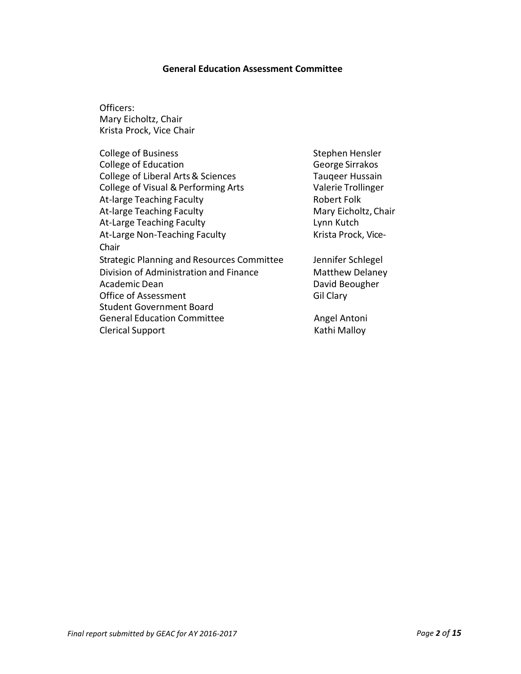#### **General Education Assessment Committee**

Officers: Mary Eicholtz, Chair Krista Prock, Vice Chair

| <b>College of Business</b>                        | Stephen Hensler        |
|---------------------------------------------------|------------------------|
| <b>College of Education</b>                       | George Sirrakos        |
| College of Liberal Arts & Sciences                | <b>Taugeer Hussain</b> |
| College of Visual & Performing Arts               | Valerie Trollinger     |
| At-large Teaching Faculty                         | <b>Robert Folk</b>     |
| At-large Teaching Faculty                         | Mary Eicholtz, Chair   |
| At-Large Teaching Faculty                         | Lynn Kutch             |
| At-Large Non-Teaching Faculty                     | Krista Prock, Vice-    |
| Chair                                             |                        |
| <b>Strategic Planning and Resources Committee</b> | Jennifer Schlegel      |
| Division of Administration and Finance            | <b>Matthew Delaney</b> |
| Academic Dean                                     | David Beougher         |
| Office of Assessment                              | Gil Clary              |
| <b>Student Government Board</b>                   |                        |
| <b>General Education Committee</b>                | Angel Antoni           |
| <b>Clerical Support</b>                           | Kathi Malloy           |
|                                                   |                        |

*Final report submitted by GEAC for AY 2016-2017 Page 2 of 15*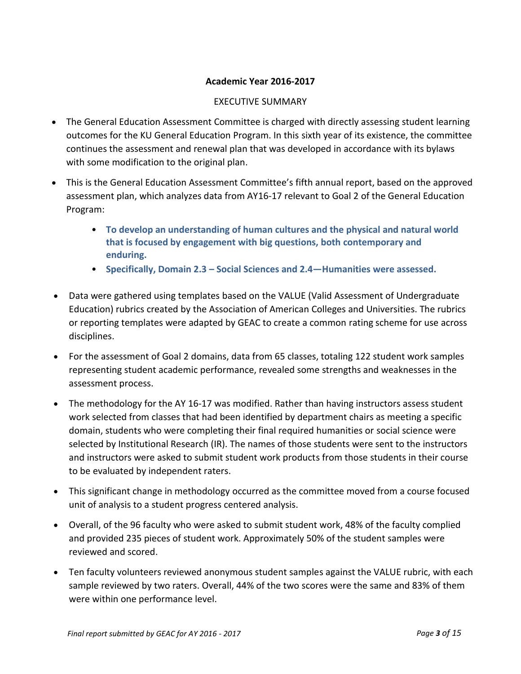### **Academic Year 2016-2017**

### EXECUTIVE SUMMARY

- The General Education Assessment Committee is charged with directly assessing student learning outcomes for the KU General Education Program. In this sixth year of its existence, the committee continues the assessment and renewal plan that was developed in accordance with its bylaws with some modification to the original plan.
- This is the General Education Assessment Committee's fifth annual report, based on the approved assessment plan, which analyzes data from AY16-17 relevant to Goal 2 of the General Education Program:
	- **To develop an understanding of human cultures and the physical and natural world that is focused by engagement with big questions, both contemporary and enduring.**
	- **Specifically, Domain 2.3 – Social Sciences and 2.4—Humanities were assessed.**
- Data were gathered using templates based on the VALUE (Valid Assessment of Undergraduate Education) rubrics created by the Association of American Colleges and Universities. The rubrics or reporting templates were adapted by GEAC to create a common rating scheme for use across disciplines.
- For the assessment of Goal 2 domains, data from 65 classes, totaling 122 student work samples representing student academic performance, revealed some strengths and weaknesses in the assessment process.
- The methodology for the AY 16-17 was modified. Rather than having instructors assess student work selected from classes that had been identified by department chairs as meeting a specific domain, students who were completing their final required humanities or social science were selected by Institutional Research (IR). The names of those students were sent to the instructors and instructors were asked to submit student work products from those students in their course to be evaluated by independent raters.
- This significant change in methodology occurred as the committee moved from a course focused unit of analysis to a student progress centered analysis.
- Overall, of the 96 faculty who were asked to submit student work, 48% of the faculty complied and provided 235 pieces of student work. Approximately 50% of the student samples were reviewed and scored.
- Ten faculty volunteers reviewed anonymous student samples against the VALUE rubric, with each sample reviewed by two raters. Overall, 44% of the two scores were the same and 83% of them were within one performance level.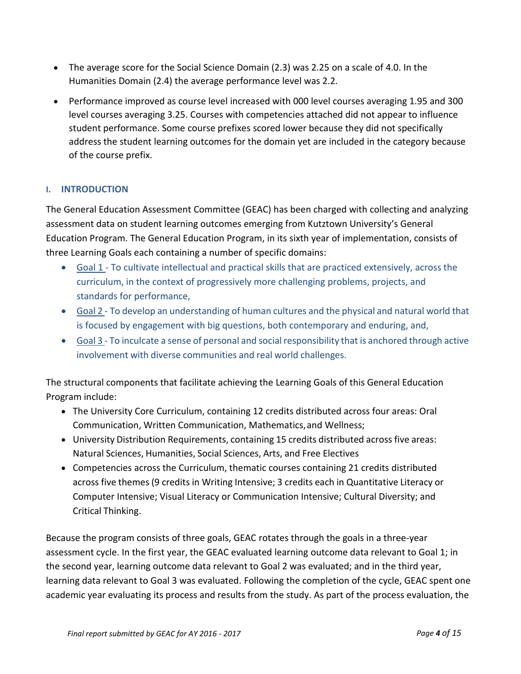- The average score for the Social Science Domain (2.3) was 2.25 on a scale of 4.0. In the Humanities Domain (2.4) the average performance level was 2.2.
- Performance improved as course level increased with 000 level courses averaging 1.95 and 300 level courses averaging 3.25. Courses with competencies attached did not appear to influence student performance. Some course prefixes scored lower because they did not specifically address the student learning outcomes for the domain yet are included in the category because of the course prefix.

# **I. INTRODUCTION**

The General Education Assessment Committee (GEAC) has been charged with collecting and analyzing assessment data on student learning outcomes emerging from Kutztown University's General Education Program. The General Education Program, in its sixth year of implementation, consists of three Learning Goals each containing a number of specific domains:

- Goal 1 To cultivate intellectual and practical skills that are practiced extensively, across the curriculum, in the context of progressively more challenging problems, projects, and standards for performance,
- Goal 2 To develop an understanding of human cultures and the physical and natural world that is focused by engagement with big questions, both contemporary and enduring, and,
- Goal 3 To inculcate a sense of personal and social responsibility that is anchored through active involvement with diverse communities and real world challenges.

The structural components that facilitate achieving the Learning Goals of this General Education Program include:

- The University Core Curriculum, containing 12 credits distributed across four areas: Oral Communication, Written Communication, Mathematics,and Wellness;
- University Distribution Requirements, containing 15 credits distributed across five areas: Natural Sciences, Humanities, Social Sciences, Arts, and Free Electives
- Competencies across the Curriculum, thematic courses containing 21 credits distributed across five themes(9 credits in Writing Intensive; 3 credits each in Quantitative Literacy or Computer Intensive; Visual Literacy or Communication Intensive; Cultural Diversity; and Critical Thinking.

Because the program consists of three goals, GEAC rotates through the goals in a three-year assessment cycle. In the first year, the GEAC evaluated learning outcome data relevant to Goal 1; in the second year, learning outcome data relevant to Goal 2 was evaluated; and in the third year, learning data relevant to Goal 3 was evaluated. Following the completion of the cycle, GEAC spent one academic year evaluating its process and results from the study. As part of the process evaluation, the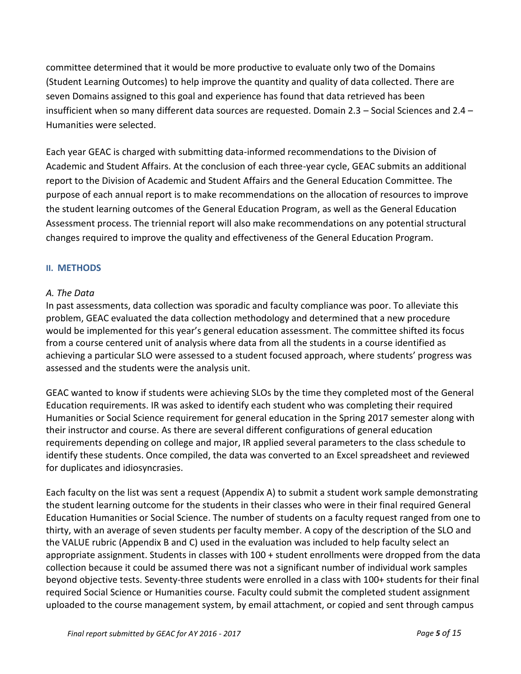committee determined that it would be more productive to evaluate only two of the Domains (Student Learning Outcomes) to help improve the quantity and quality of data collected. There are seven Domains assigned to this goal and experience has found that data retrieved has been insufficient when so many different data sources are requested. Domain 2.3 – Social Sciences and 2.4 – Humanities were selected.

Each year GEAC is charged with submitting data-informed recommendations to the Division of Academic and Student Affairs. At the conclusion of each three-year cycle, GEAC submits an additional report to the Division of Academic and Student Affairs and the General Education Committee. The purpose of each annual report is to make recommendations on the allocation of resources to improve the student learning outcomes of the General Education Program, as well as the General Education Assessment process. The triennial report will also make recommendations on any potential structural changes required to improve the quality and effectiveness of the General Education Program.

### **II. METHODS**

### *A. The Data*

In past assessments, data collection was sporadic and faculty compliance was poor. To alleviate this problem, GEAC evaluated the data collection methodology and determined that a new procedure would be implemented for this year's general education assessment. The committee shifted its focus from a course centered unit of analysis where data from all the students in a course identified as achieving a particular SLO were assessed to a student focused approach, where students' progress was assessed and the students were the analysis unit.

GEAC wanted to know if students were achieving SLOs by the time they completed most of the General Education requirements. IR was asked to identify each student who was completing their required Humanities or Social Science requirement for general education in the Spring 2017 semester along with their instructor and course. As there are several different configurations of general education requirements depending on college and major, IR applied several parameters to the class schedule to identify these students. Once compiled, the data was converted to an Excel spreadsheet and reviewed for duplicates and idiosyncrasies.

Each faculty on the list was sent a request (Appendix A) to submit a student work sample demonstrating the student learning outcome for the students in their classes who were in their final required General Education Humanities or Social Science. The number of students on a faculty request ranged from one to thirty, with an average of seven students per faculty member. A copy of the description of the SLO and the VALUE rubric (Appendix B and C) used in the evaluation was included to help faculty select an appropriate assignment. Students in classes with 100 + student enrollments were dropped from the data collection because it could be assumed there was not a significant number of individual work samples beyond objective tests. Seventy-three students were enrolled in a class with 100+ students for their final required Social Science or Humanities course. Faculty could submit the completed student assignment uploaded to the course management system, by email attachment, or copied and sent through campus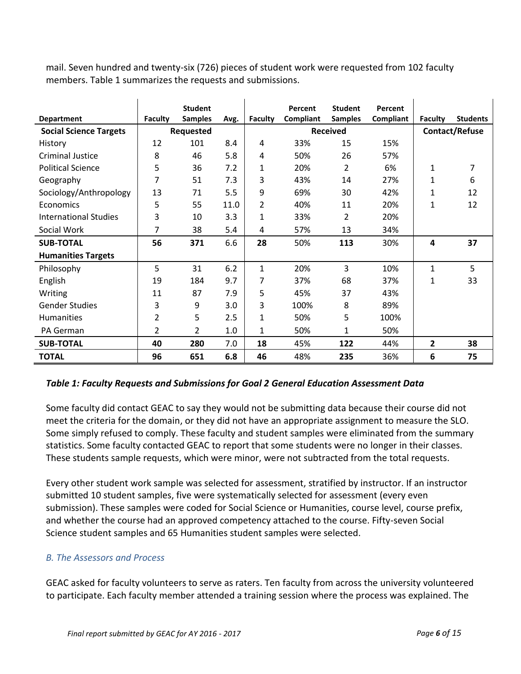mail. Seven hundred and twenty-six (726) pieces of student work were requested from 102 faculty members. Table 1 summarizes the requests and submissions.

|                               |                | <b>Student</b> |      |                | Percent         | <b>Student</b> | Percent   |                       |                 |
|-------------------------------|----------------|----------------|------|----------------|-----------------|----------------|-----------|-----------------------|-----------------|
| <b>Department</b>             | <b>Faculty</b> | <b>Samples</b> | Avg. | <b>Faculty</b> | Compliant       | <b>Samples</b> | Compliant | <b>Faculty</b>        | <b>Students</b> |
| <b>Social Science Targets</b> | Requested      |                |      |                | <b>Received</b> |                |           | <b>Contact/Refuse</b> |                 |
| History                       | 12             | 101            | 8.4  | 4              | 33%             | 15             | 15%       |                       |                 |
| <b>Criminal Justice</b>       | 8              | 46             | 5.8  | 4              | 50%             | 26             | 57%       |                       |                 |
| <b>Political Science</b>      | 5              | 36             | 7.2  | 1              | 20%             | 2              | 6%        | 1                     | 7               |
| Geography                     | 7              | 51             | 7.3  | 3              | 43%             | 14             | 27%       | 1                     | 6               |
| Sociology/Anthropology        | 13             | 71             | 5.5  | 9              | 69%             | 30             | 42%       | 1                     | 12              |
| Economics                     | 5              | 55             | 11.0 | 2              | 40%             | 11             | 20%       | 1                     | 12              |
| <b>International Studies</b>  | 3              | 10             | 3.3  | $\mathbf{1}$   | 33%             | 2              | 20%       |                       |                 |
| Social Work                   | 7              | 38             | 5.4  | 4              | 57%             | 13             | 34%       |                       |                 |
| <b>SUB-TOTAL</b>              | 56             | 371            | 6.6  | 28             | 50%             | 113            | 30%       | 4                     | 37              |
| <b>Humanities Targets</b>     |                |                |      |                |                 |                |           |                       |                 |
| Philosophy                    | 5              | 31             | 6.2  | 1              | 20%             | 3              | 10%       | 1                     | 5               |
| English                       | 19             | 184            | 9.7  | 7              | 37%             | 68             | 37%       | 1                     | 33              |
| Writing                       | 11             | 87             | 7.9  | 5              | 45%             | 37             | 43%       |                       |                 |
| <b>Gender Studies</b>         | 3              | 9              | 3.0  | 3              | 100%            | 8              | 89%       |                       |                 |
| Humanities                    | $\overline{2}$ | 5              | 2.5  | $\mathbf{1}$   | 50%             | 5              | 100%      |                       |                 |
| PA German                     | 2              | 2              | 1.0  | 1              | 50%             | 1              | 50%       |                       |                 |
| <b>SUB-TOTAL</b>              | 40             | 280            | 7.0  | 18             | 45%             | 122            | 44%       | $\mathbf{2}$          | 38              |
| <b>TOTAL</b>                  | 96             | 651            | 6.8  | 46             | 48%             | 235            | 36%       | 6                     | 75              |

### *Table 1: Faculty Requests and Submissions for Goal 2 General Education Assessment Data*

Some faculty did contact GEAC to say they would not be submitting data because their course did not meet the criteria for the domain, or they did not have an appropriate assignment to measure the SLO. Some simply refused to comply. These faculty and student samples were eliminated from the summary statistics. Some faculty contacted GEAC to report that some students were no longer in their classes. These students sample requests, which were minor, were not subtracted from the total requests.

Every other student work sample was selected for assessment, stratified by instructor. If an instructor submitted 10 student samples, five were systematically selected for assessment (every even submission). These samples were coded for Social Science or Humanities, course level, course prefix, and whether the course had an approved competency attached to the course. Fifty-seven Social Science student samples and 65 Humanities student samples were selected.

### *B. The Assessors and Process*

GEAC asked for faculty volunteers to serve as raters. Ten faculty from across the university volunteered to participate. Each faculty member attended a training session where the process was explained. The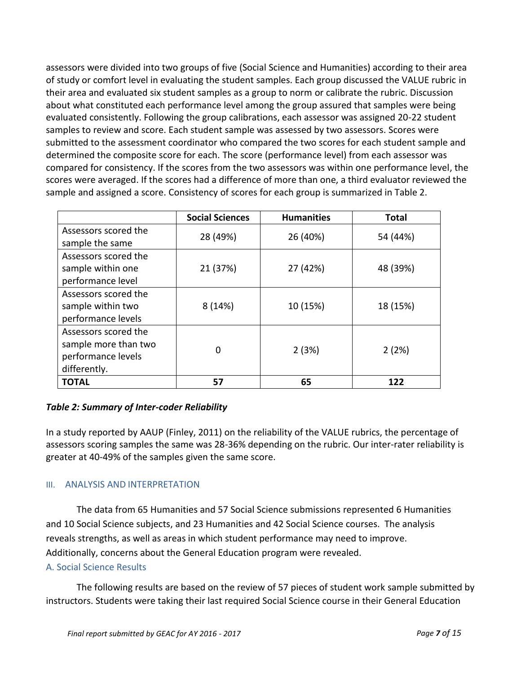assessors were divided into two groups of five (Social Science and Humanities) according to their area of study or comfort level in evaluating the student samples. Each group discussed the VALUE rubric in their area and evaluated six student samples as a group to norm or calibrate the rubric. Discussion about what constituted each performance level among the group assured that samples were being evaluated consistently. Following the group calibrations, each assessor was assigned 20-22 student samples to review and score. Each student sample was assessed by two assessors. Scores were submitted to the assessment coordinator who compared the two scores for each student sample and determined the composite score for each. The score (performance level) from each assessor was compared for consistency. If the scores from the two assessors was within one performance level, the scores were averaged. If the scores had a difference of more than one, a third evaluator reviewed the sample and assigned a score. Consistency of scores for each group is summarized in Table 2.

|                                                                                    | <b>Social Sciences</b> | <b>Humanities</b> | <b>Total</b> |
|------------------------------------------------------------------------------------|------------------------|-------------------|--------------|
| Assessors scored the<br>sample the same                                            | 28 (49%)               | 26 (40%)          | 54 (44%)     |
| Assessors scored the<br>sample within one<br>performance level                     | 21 (37%)               | 27 (42%)          | 48 (39%)     |
| Assessors scored the<br>sample within two<br>performance levels                    | 8(14%)                 | 10 (15%)          | 18 (15%)     |
| Assessors scored the<br>sample more than two<br>performance levels<br>differently. | 0                      | 2(3%)             | 2(2%)        |
| <b>TOTAL</b>                                                                       | 57                     | 65                | 122          |

### *Table 2: Summary of Inter-coder Reliability*

In a study reported by AAUP (Finley, 2011) on the reliability of the VALUE rubrics, the percentage of assessors scoring samples the same was 28-36% depending on the rubric. Our inter-rater reliability is greater at 40-49% of the samples given the same score.

### III. ANALYSIS AND INTERPRETATION

The data from 65 Humanities and 57 Social Science submissions represented 6 Humanities and 10 Social Science subjects, and 23 Humanities and 42 Social Science courses. The analysis reveals strengths, as well as areas in which student performance may need to improve. Additionally, concerns about the General Education program were revealed.

### A. Social Science Results

The following results are based on the review of 57 pieces of student work sample submitted by instructors. Students were taking their last required Social Science course in their General Education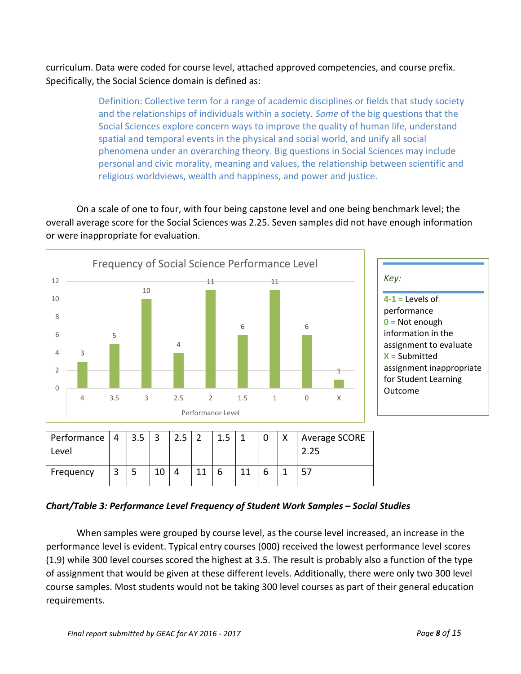curriculum. Data were coded for course level, attached approved competencies, and course prefix. Specifically, the Social Science domain is defined as:

> Definition: Collective term for a range of academic disciplines or fields that study society and the relationships of individuals within a society. *Some* of the big questions that the Social Sciences explore concern ways to improve the quality of human life, understand spatial and temporal events in the physical and social world, and unify all social phenomena under an overarching theory. Big questions in Social Sciences may include personal and civic morality, meaning and values, the relationship between scientific and religious worldviews, wealth and happiness, and power and justice.

On a scale of one to four, with four being capstone level and one being benchmark level; the overall average score for the Social Sciences was 2.25. Seven samples did not have enough information or were inappropriate for evaluation.



### *Chart/Table 3: Performance Level Frequency of Student Work Samples – Social Studies*

When samples were grouped by course level, as the course level increased, an increase in the performance level is evident. Typical entry courses (000) received the lowest performance level scores (1.9) while 300 level courses scored the highest at 3.5. The result is probably also a function of the type of assignment that would be given at these different levels. Additionally, there were only two 300 level course samples. Most students would not be taking 300 level courses as part of their general education requirements.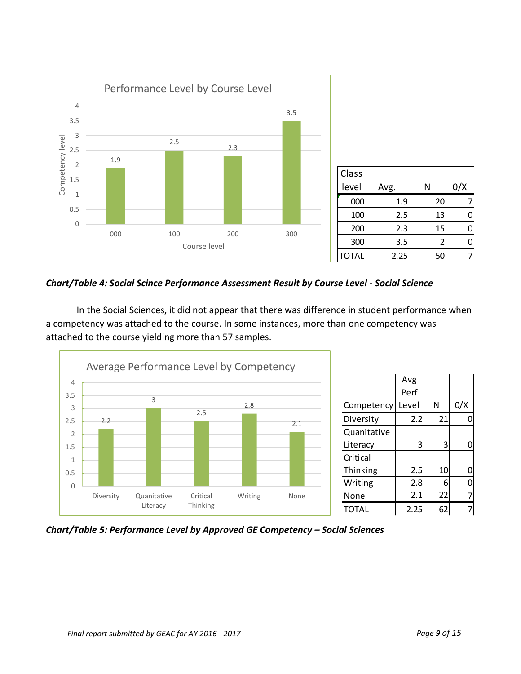

*Chart/Table 4: Social Scince Performance Assessment Result by Course Level - Social Science*

In the Social Sciences, it did not appear that there was difference in student performance when a competency was attached to the course. In some instances, more than one competency was attached to the course yielding more than 57 samples.



*Chart/Table 5: Performance Level by Approved GE Competency – Social Sciences*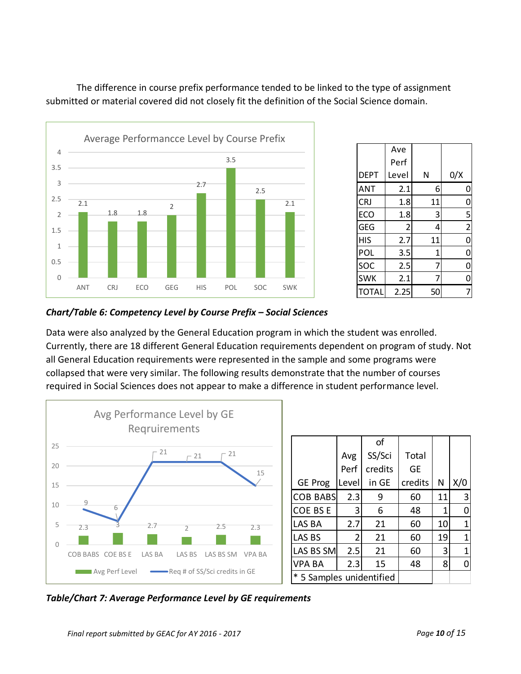

DEPT Ave Perf Level  $N$   $0/X$ ANT | 2.1 | 6 | 0 CRJ | 1.8 | 11 | 0  $ECO$  1.8 3 5 GEG  $\begin{vmatrix} 2 & 4 & 2 \end{vmatrix}$ HIS 2.7 11 0 POL 3.5 1 0  $SOC$   $|$  2.5 7 0  $SWK$  | 2.1 7 0  $\text{total}$  2.25 50 7

### *Chart/Table 6: Competency Level by Course Prefix – Social Sciences*

Data were also analyzed by the General Education program in which the student was enrolled. Currently, there are 18 different General Education requirements dependent on program of study. Not all General Education requirements were represented in the sample and some programs were collapsed that were very similar. The following results demonstrate that the number of courses required in Social Sciences does not appear to make a difference in student performance level.

The difference in course prefix performance tended to be linked to the type of assignment

submitted or material covered did not closely fit the definition of the Social Science domain.



*Table/Chart 7: Average Performance Level by GE requirements*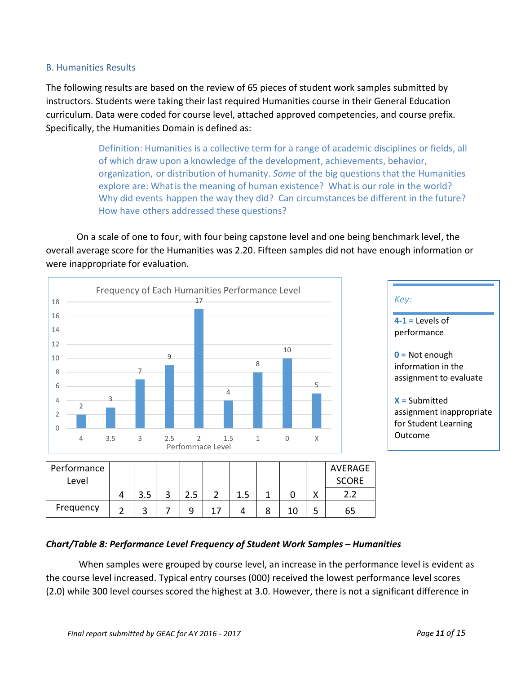### B. Humanities Results

The following results are based on the review of 65 pieces of student work samples submitted by instructors. Students were taking their last required Humanities course in their General Education curriculum. Data were coded for course level, attached approved competencies, and course prefix. Specifically, the Humanities Domain is defined as:

> Definition: Humanities is a collective term for a range of academic disciplines or fields, all of which draw upon a knowledge of the development, achievements, behavior, organization, or distribution of humanity. *Some* of the big questions that the Humanities explore are: Whatis the meaning of human existence? What is our role in the world? Why did events happen the way they did? Can circumstances be different in the future? How have others addressed these questions?

On a scale of one to four, with four being capstone level and one being benchmark level, the overall average score for the Humanities was 2.20. Fifteen samples did not have enough information or were inappropriate for evaluation.



### *Chart/Table 8: Performance Level Frequency of Student Work Samples – Humanities*

When samples were grouped by course level, an increase in the performance level is evident as the course level increased. Typical entry courses (000) received the lowest performance level scores (2.0) while 300 level courses scored the highest at 3.0. However, there is not a significant difference in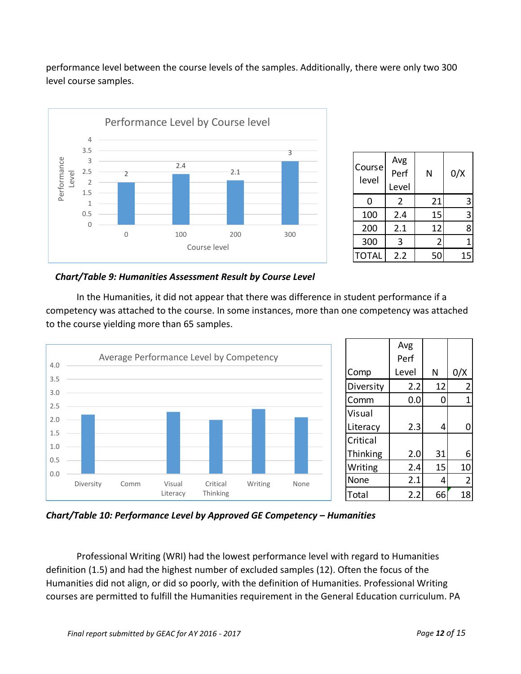performance level between the course levels of the samples. Additionally, there were only two 300 level course samples.



| Course<br>level | Avg<br>Perf<br>Level | Ν  | 0/X |
|-----------------|----------------------|----|-----|
| 0               | 2                    | 21 | 3   |
| 100             | 2.4                  | 15 | 3   |
| 200             | 2.1                  | 12 | 8   |
| 300             | 3                    | 2  |     |
| <b>TOTAL</b>    | 2.2                  | 50 | 15  |

 *Chart/Table 9: Humanities Assessment Result by Course Level* 

In the Humanities, it did not appear that there was difference in student performance if a competency was attached to the course. In some instances, more than one competency was attached to the course yielding more than 65 samples.



*Chart/Table 10: Performance Level by Approved GE Competency – Humanities*

Professional Writing (WRI) had the lowest performance level with regard to Humanities definition (1.5) and had the highest number of excluded samples (12). Often the focus of the Humanities did not align, or did so poorly, with the definition of Humanities. Professional Writing courses are permitted to fulfill the Humanities requirement in the General Education curriculum. PA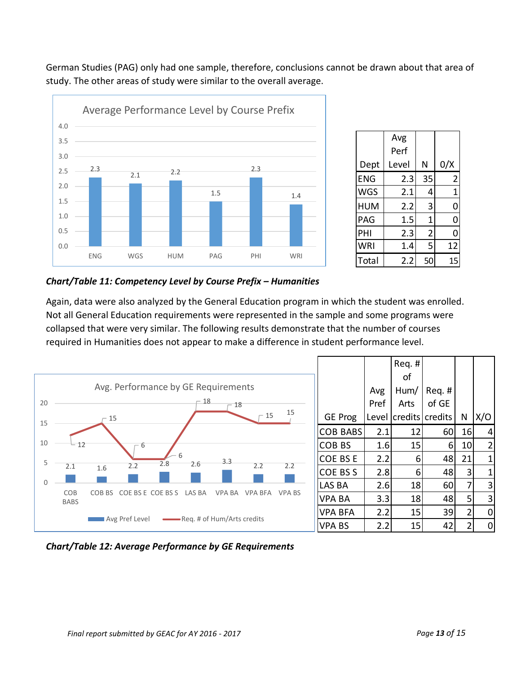German Studies (PAG) only had one sample, therefore, conclusions cannot be drawn about that area of study. The other areas of study were similar to the overall average.



|       | Avg   |                |     |
|-------|-------|----------------|-----|
|       | Perf  |                |     |
| Dept  | Level | N              | 0/X |
| ENG   | 2.3   | 35             | 2   |
| WGS   | 2.1   | 4              | 1   |
| HUM   | 2.2   | 3              | 0   |
| PAG   | 1.5   | 1              | 0   |
| PHI   | 2.3   | $\overline{c}$ | 0   |
| WRI   | 1.4   | 5              | 12  |
| Total | 2.2   | 50             | 15  |

### *Chart/Table 11: Competency Level by Course Prefix – Humanities*

Again, data were also analyzed by the General Education program in which the student was enrolled. Not all General Education requirements were represented in the sample and some programs were collapsed that were very similar. The following results demonstrate that the number of courses required in Humanities does not appear to make a difference in student performance level.



|                 |       | Req.#   |         |                |                |
|-----------------|-------|---------|---------|----------------|----------------|
|                 |       | οf      |         |                |                |
|                 | Avg   | Hum/    | Reg. #  |                |                |
|                 | Pref  | Arts    | of GE   |                |                |
| <b>GE Prog</b>  | Level | credits | credits | N              | X/O            |
| <b>COB BABS</b> | 2.1   | 12      | 60      | 16             | 4              |
| <b>COB BS</b>   | 1.6   | 15      | 6       | 10             | $\overline{2}$ |
| <b>COE BSE</b>  | 2.2   | 6       | 48      | 21             | 1              |
| COE BSS         | 2.8   | 6       | 48      | 3              | $\overline{1}$ |
| LAS BA          | 2.6   | 18      | 60      | 7              | 3              |
| <b>VPA BA</b>   | 3.3   | 18      | 48      | 5              | 3              |
| <b>VPA BFA</b>  | 2.2   | 15      | 39      | $\overline{2}$ | 0              |
| <b>VPA BS</b>   | 2.2   | 15      | 42      | $\overline{2}$ | 0              |

*Chart/Table 12: Average Performance by GE Requirements*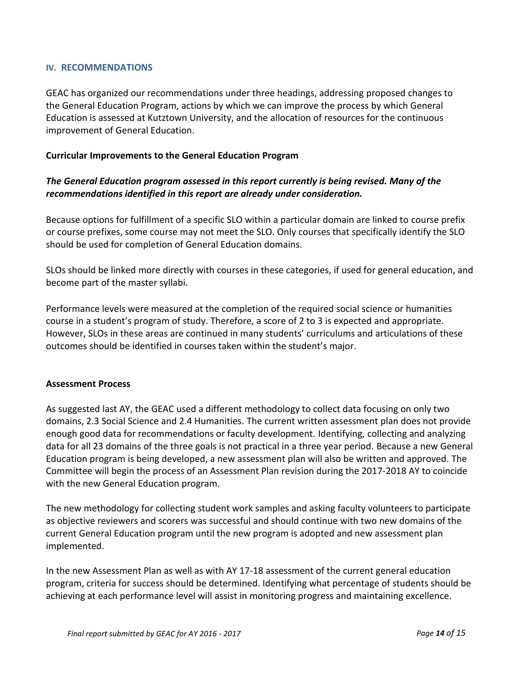#### **IV. RECOMMENDATIONS**

GEAC has organized our recommendations under three headings, addressing proposed changes to the General Education Program, actions by which we can improve the process by which General Education is assessed at Kutztown University, and the allocation of resources for the continuous improvement of General Education.

#### **Curricular Improvements to the General Education Program**

## *The General Education program assessed in this report currently is being revised. Many of the recommendations identified in this report are already under consideration.*

Because options for fulfillment of a specific SLO within a particular domain are linked to course prefix or course prefixes, some course may not meet the SLO. Only courses that specifically identify the SLO should be used for completion of General Education domains.

SLOs should be linked more directly with courses in these categories, if used for general education, and become part of the master syllabi.

Performance levels were measured at the completion of the required social science or humanities course in a student's program of study. Therefore, a score of 2 to 3 is expected and appropriate. However, SLOs in these areas are continued in many students' curriculums and articulations of these outcomes should be identified in courses taken within the student's major.

#### **Assessment Process**

As suggested last AY, the GEAC used a different methodology to collect data focusing on only two domains, 2.3 Social Science and 2.4 Humanities. The current written assessment plan does not provide enough good data for recommendations or faculty development. Identifying, collecting and analyzing data for all 23 domains of the three goals is not practical in a three year period. Because a new General Education program is being developed, a new assessment plan will also be written and approved. The Committee will begin the process of an Assessment Plan revision during the 2017-2018 AY to coincide with the new General Education program.

The new methodology for collecting student work samples and asking faculty volunteers to participate as objective reviewers and scorers was successful and should continue with two new domains of the current General Education program until the new program is adopted and new assessment plan implemented.

In the new Assessment Plan as well as with AY 17-18 assessment of the current general education program, criteria for success should be determined. Identifying what percentage of students should be achieving at each performance level will assist in monitoring progress and maintaining excellence.